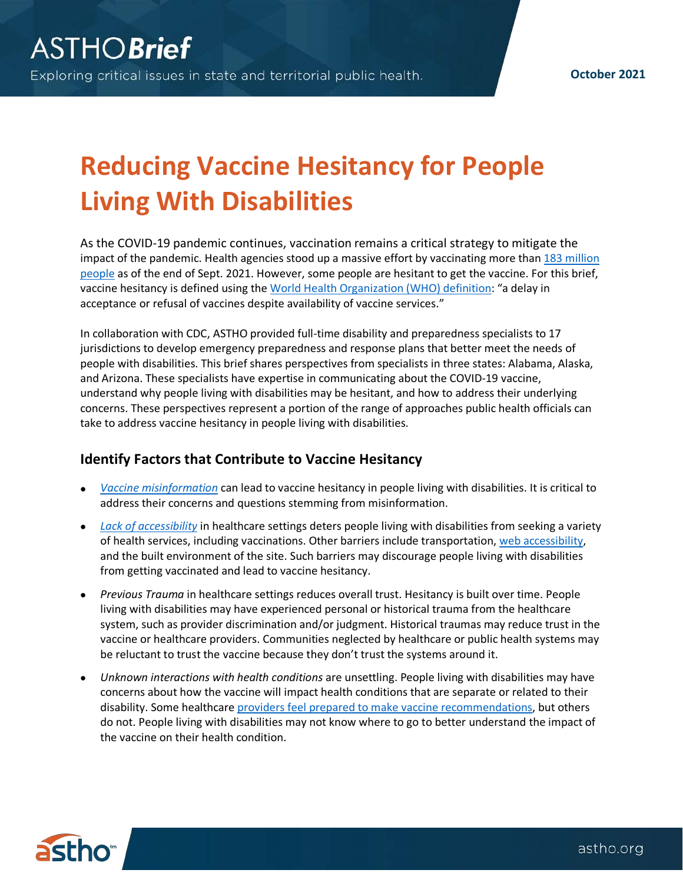**October 2021**

## **Reducing Vaccine Hesitancy for People Living With Disabilities**

As the COVID-19 pandemic continues, vaccination remains a critical strategy to mitigate the impact of the pandemic. Health agencies stood up a massive effort by vaccinating more than 183 [million](https://covid.cdc.gov/covid-data-tracker/#vaccinations_vacc-total-admin-rate-total)  [people](https://covid.cdc.gov/covid-data-tracker/#vaccinations_vacc-total-admin-rate-total) as of the end of Sept. 2021. However, some people are hesitant to get the vaccine. For this brief, vaccine hesitancy is defined using the [World Health Organization \(WHO\) definition:](https://www.who.int/immunization/research/forums_and_initiatives/1_RButler_VH_Threat_Child_Health_gvirf16.pdf) "a delay in acceptance or refusal of vaccines despite availability of vaccine services."

In collaboration with CDC, ASTHO provided full-time disability and preparedness specialists to 17 jurisdictions to develop emergency preparedness and response plans that better meet the needs of people with disabilities. This brief shares perspectives from specialists in three states: Alabama, Alaska, and Arizona. These specialists have expertise in communicating about the COVID-19 vaccine, understand why people living with disabilities may be hesitant, and how to address their underlying concerns. These perspectives represent a portion of the range of approaches public health officials can take to address vaccine hesitancy in people living with disabilities.

## **Identify Factors that Contribute to Vaccine Hesitancy**

- *[Vaccine misinformation](https://www.astho.org/generickey/GenericKeyDetails.aspx?id=23796&terms=misinformation)* can lead to vaccine hesitancy in people living with disabilities. It is critical to address their concerns and questions stemming from misinformation.
- *[Lack of accessibility](https://www.astho.org/generickey/GenericKeyDetails.aspx?contentid=23608&folderid=5150&catid=7184)* in healthcare settings deters people living with disabilities from seeking a variety of health services, including vaccinations. Other barriers include transportation, [web accessibility,](https://www.astho.org/generickey/GenericKeyDetails.aspx?contentid=23536&folderid=5150&catid=7184) and the built environment of the site. Such barriers may discourage people living with disabilities from getting vaccinated and lead to vaccine hesitancy.
- *Previous Trauma* in healthcare settings reduces overall trust. Hesitancy is built over time. People living with disabilities may have experienced personal or historical trauma from the healthcare system, such as provider discrimination and/or judgment. Historical traumas may reduce trust in the vaccine or healthcare providers. Communities neglected by healthcare or public health systems may be reluctant to trust the vaccine because they don't trust the systems around it.
- *Unknown interactions with health conditions* are unsettling. People living with disabilities may have concerns about how the vaccine will impact health conditions that are separate or related to their disability. Some healthcare [providers feel prepared to make vaccine recommendations,](https://www.cdc.gov/vaccines/covid-19/hcp/engaging-patients.html) but others do not. People living with disabilities may not know where to go to better understand the impact of the vaccine on their health condition.